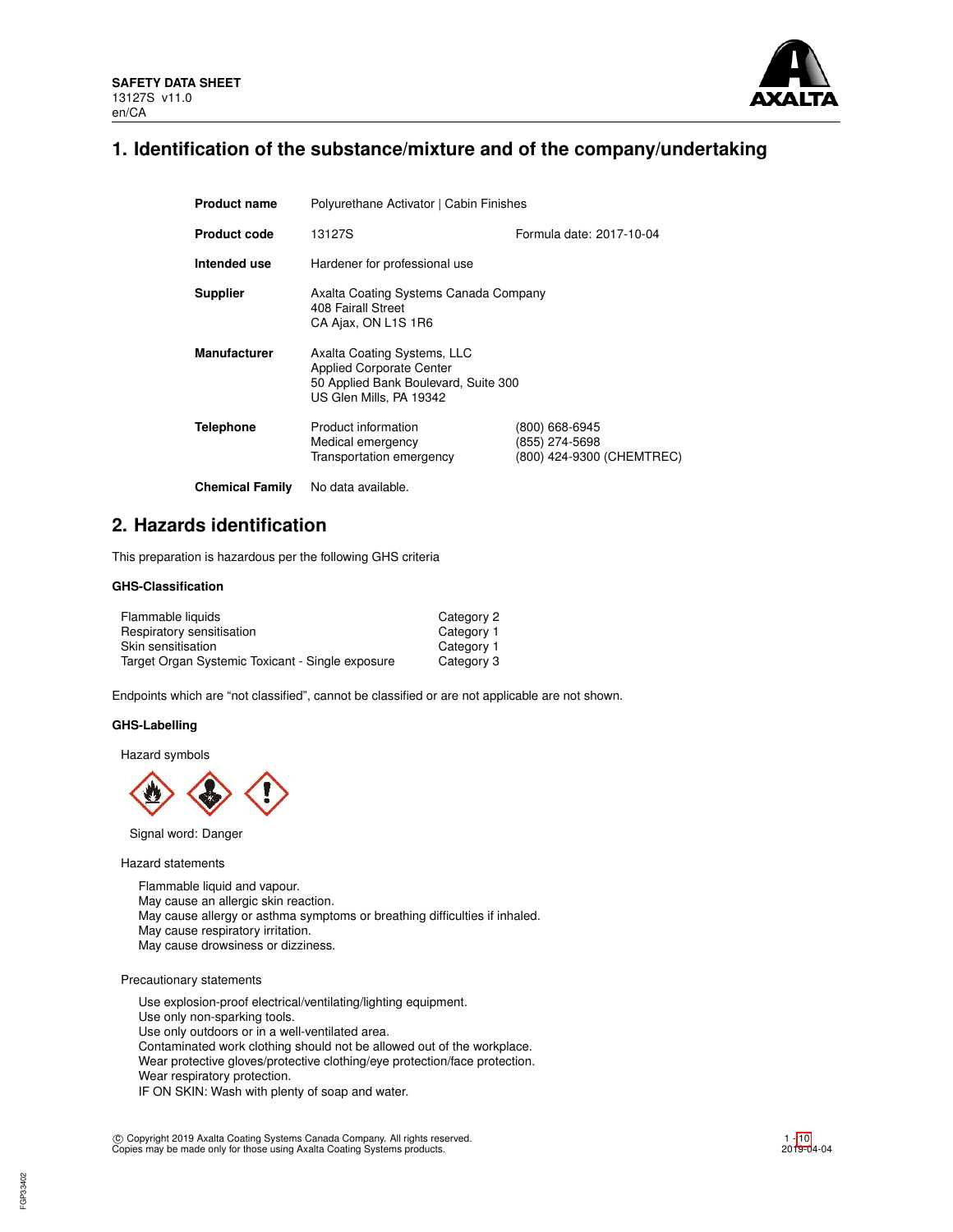

# **1. Identification of the substance/mixture and of the company/undertaking**

| <b>Product name</b>    | Polyurethane Activator   Cabin Finishes                                                                                           |                                                               |  |  |  |  |
|------------------------|-----------------------------------------------------------------------------------------------------------------------------------|---------------------------------------------------------------|--|--|--|--|
| <b>Product code</b>    | Formula date: 2017-10-04<br>13127S                                                                                                |                                                               |  |  |  |  |
| Intended use           | Hardener for professional use                                                                                                     |                                                               |  |  |  |  |
| <b>Supplier</b>        | Axalta Coating Systems Canada Company<br>408 Fairall Street<br>CA Ajax, ON L1S 1R6                                                |                                                               |  |  |  |  |
| <b>Manufacturer</b>    | Axalta Coating Systems, LLC<br><b>Applied Corporate Center</b><br>50 Applied Bank Boulevard, Suite 300<br>US Glen Mills, PA 19342 |                                                               |  |  |  |  |
| <b>Telephone</b>       | Product information<br>Medical emergency<br>Transportation emergency                                                              | (800) 668-6945<br>(855) 274-5698<br>(800) 424-9300 (CHEMTREC) |  |  |  |  |
| <b>Chemical Family</b> | No data available.                                                                                                                |                                                               |  |  |  |  |

# **2. Hazards identification**

This preparation is hazardous per the following GHS criteria

## **GHS-Classification**

| Flammable liquids                                | Category 2 |
|--------------------------------------------------|------------|
| Respiratory sensitisation                        | Category 1 |
| Skin sensitisation                               | Category 1 |
| Target Organ Systemic Toxicant - Single exposure | Category 3 |

Endpoints which are "not classified", cannot be classified or are not applicable are not shown.

#### **GHS-Labelling**

Hazard symbols



Signal word: Danger

Hazard statements

Flammable liquid and vapour. May cause an allergic skin reaction. May cause allergy or asthma symptoms or breathing difficulties if inhaled. May cause respiratory irritation. May cause drowsiness or dizziness.

Precautionary statements

Use explosion-proof electrical/ventilating/lighting equipment. Use only non-sparking tools. Use only outdoors or in a well-ventilated area. Contaminated work clothing should not be allowed out of the workplace. Wear protective gloves/protective clothing/eye protection/face protection. Wear respiratory protection. IF ON SKIN: Wash with plenty of soap and water.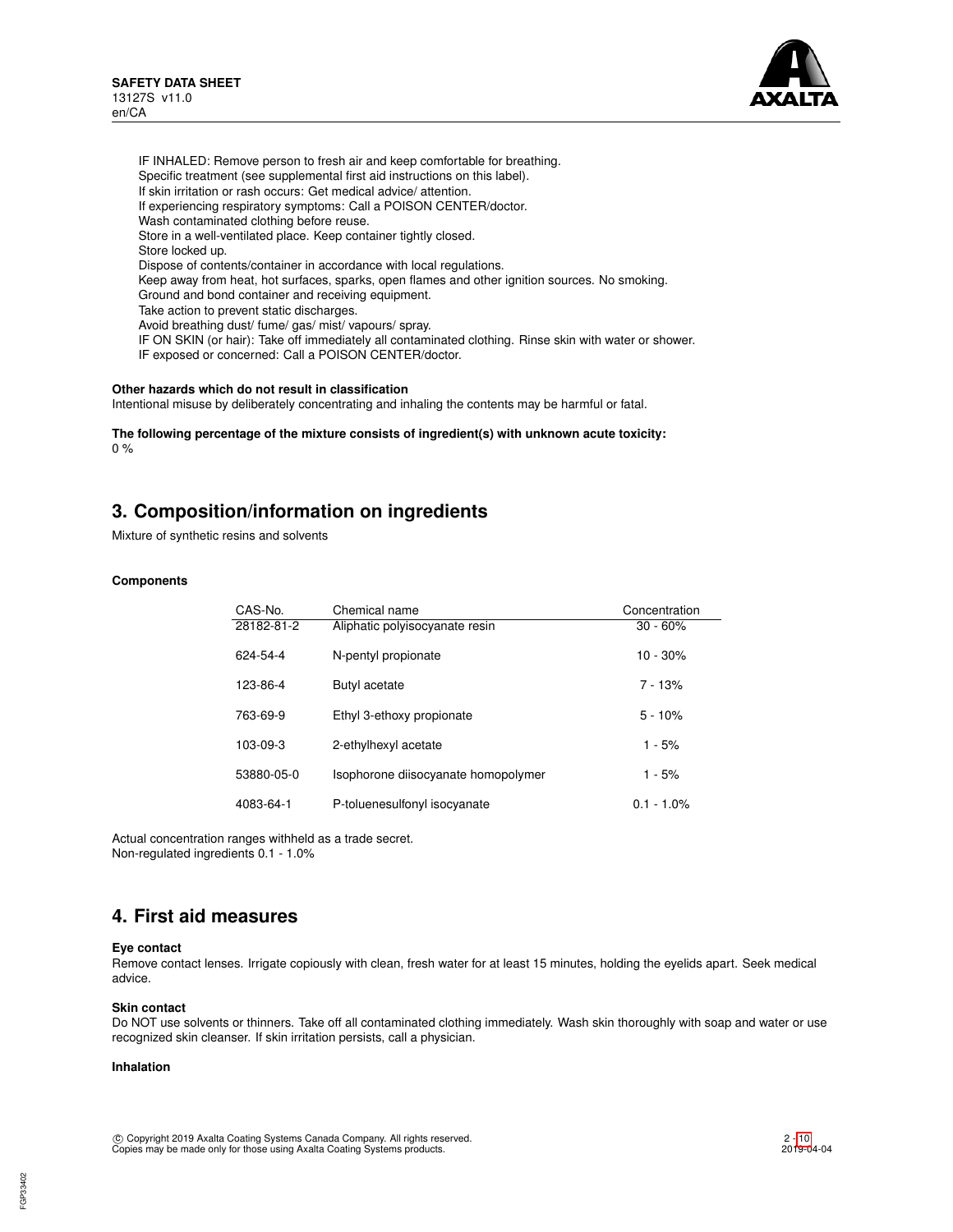

IF INHALED: Remove person to fresh air and keep comfortable for breathing. Specific treatment (see supplemental first aid instructions on this label). If skin irritation or rash occurs: Get medical advice/ attention. If experiencing respiratory symptoms: Call a POISON CENTER/doctor. Wash contaminated clothing before reuse. Store in a well-ventilated place. Keep container tightly closed. Store locked up. Dispose of contents/container in accordance with local regulations. Keep away from heat, hot surfaces, sparks, open flames and other ignition sources. No smoking. Ground and bond container and receiving equipment. Take action to prevent static discharges. Avoid breathing dust/ fume/ gas/ mist/ vapours/ spray. IF ON SKIN (or hair): Take off immediately all contaminated clothing. Rinse skin with water or shower. IF exposed or concerned: Call a POISON CENTER/doctor.

# **Other hazards which do not result in classification**

Intentional misuse by deliberately concentrating and inhaling the contents may be harmful or fatal.

**The following percentage of the mixture consists of ingredient(s) with unknown acute toxicity:** 0 %

# **3. Composition/information on ingredients**

Mixture of synthetic resins and solvents

# **Components**

| CAS-No.        | Chemical name                       | Concentration |
|----------------|-------------------------------------|---------------|
| 28182-81-2     | Aliphatic polyisocyanate resin      | $30 - 60%$    |
| 624-54-4       | N-pentyl propionate                 | $10 - 30%$    |
| 123-86-4       | Butyl acetate                       | $7 - 13%$     |
| 763-69-9       | Ethyl 3-ethoxy propionate           | $5 - 10%$     |
| $103 - 09 - 3$ | 2-ethylhexyl acetate                | $1 - 5%$      |
| 53880-05-0     | Isophorone diisocyanate homopolymer | $1 - 5%$      |
| 4083-64-1      | P-toluenesulfonyl isocyanate        | $0.1 - 1.0\%$ |

Actual concentration ranges withheld as a trade secret. Non-regulated ingredients 0.1 - 1.0%

# **4. First aid measures**

#### **Eye contact**

Remove contact lenses. Irrigate copiously with clean, fresh water for at least 15 minutes, holding the eyelids apart. Seek medical advice.

#### **Skin contact**

Do NOT use solvents or thinners. Take off all contaminated clothing immediately. Wash skin thoroughly with soap and water or use recognized skin cleanser. If skin irritation persists, call a physician.

### **Inhalation**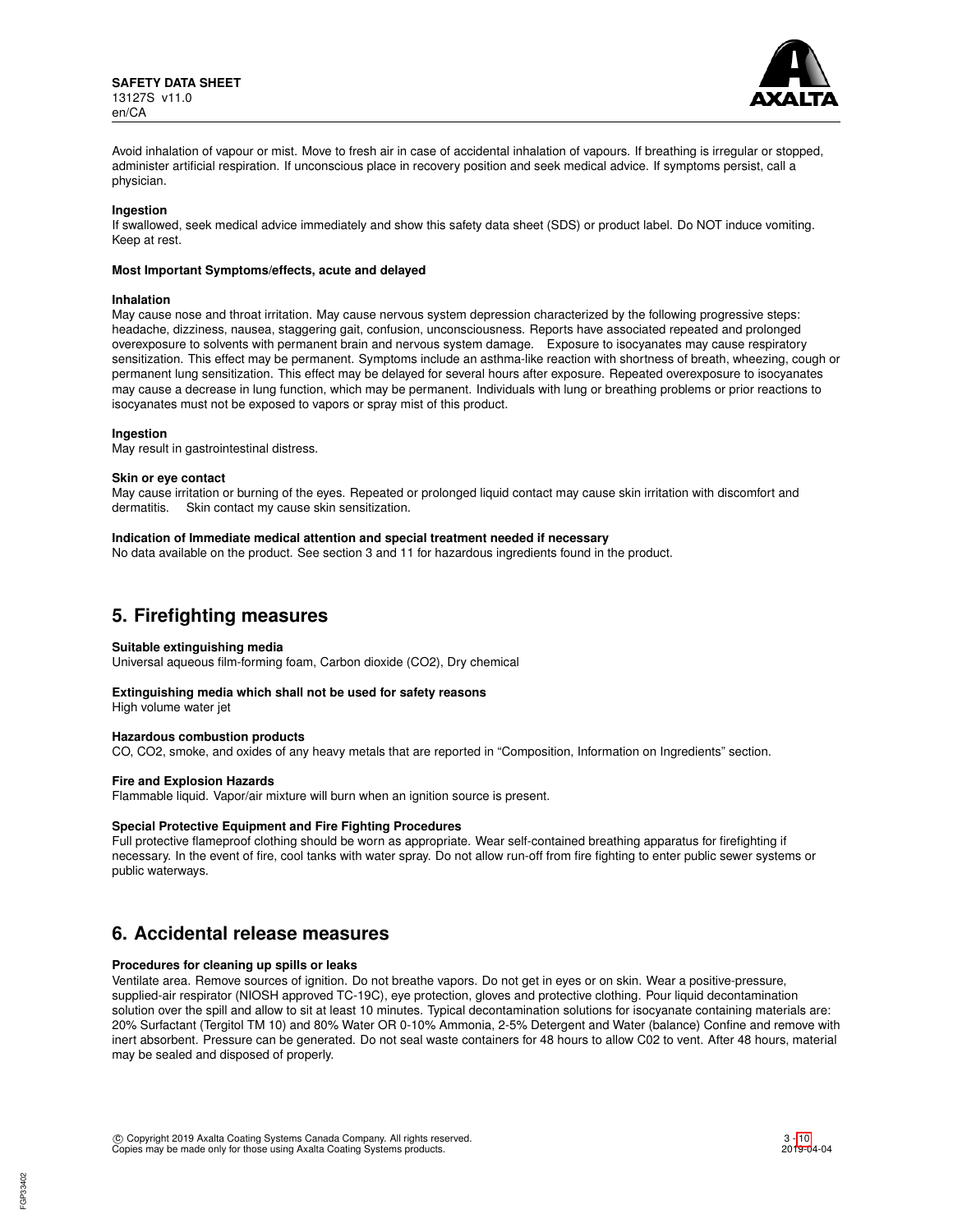**SAFETY DATA SHEET** 13127S v11.0 en/CA



Avoid inhalation of vapour or mist. Move to fresh air in case of accidental inhalation of vapours. If breathing is irregular or stopped, administer artificial respiration. If unconscious place in recovery position and seek medical advice. If symptoms persist, call a physician.

#### **Ingestion**

If swallowed, seek medical advice immediately and show this safety data sheet (SDS) or product label. Do NOT induce vomiting. Keep at rest.

#### **Most Important Symptoms/effects, acute and delayed**

#### **Inhalation**

May cause nose and throat irritation. May cause nervous system depression characterized by the following progressive steps: headache, dizziness, nausea, staggering gait, confusion, unconsciousness. Reports have associated repeated and prolonged overexposure to solvents with permanent brain and nervous system damage. Exposure to isocyanates may cause respiratory sensitization. This effect may be permanent. Symptoms include an asthma-like reaction with shortness of breath, wheezing, cough or permanent lung sensitization. This effect may be delayed for several hours after exposure. Repeated overexposure to isocyanates may cause a decrease in lung function, which may be permanent. Individuals with lung or breathing problems or prior reactions to isocyanates must not be exposed to vapors or spray mist of this product.

#### **Ingestion**

May result in gastrointestinal distress.

#### **Skin or eye contact**

May cause irritation or burning of the eyes. Repeated or prolonged liquid contact may cause skin irritation with discomfort and dermatitis. Skin contact my cause skin sensitization.

### **Indication of Immediate medical attention and special treatment needed if necessary**

No data available on the product. See section 3 and 11 for hazardous ingredients found in the product.

# **5. Firefighting measures**

#### **Suitable extinguishing media**

Universal aqueous film-forming foam, Carbon dioxide (CO2), Dry chemical

#### **Extinguishing media which shall not be used for safety reasons**

High volume water jet

#### **Hazardous combustion products**

CO, CO2, smoke, and oxides of any heavy metals that are reported in "Composition, Information on Ingredients" section.

#### **Fire and Explosion Hazards**

Flammable liquid. Vapor/air mixture will burn when an ignition source is present.

#### **Special Protective Equipment and Fire Fighting Procedures**

Full protective flameproof clothing should be worn as appropriate. Wear self-contained breathing apparatus for firefighting if necessary. In the event of fire, cool tanks with water spray. Do not allow run-off from fire fighting to enter public sewer systems or public waterways.

# **6. Accidental release measures**

#### **Procedures for cleaning up spills or leaks**

Ventilate area. Remove sources of ignition. Do not breathe vapors. Do not get in eyes or on skin. Wear a positive-pressure, supplied-air respirator (NIOSH approved TC-19C), eye protection, gloves and protective clothing. Pour liquid decontamination solution over the spill and allow to sit at least 10 minutes. Typical decontamination solutions for isocyanate containing materials are: 20% Surfactant (Tergitol TM 10) and 80% Water OR 0-10% Ammonia, 2-5% Detergent and Water (balance) Confine and remove with inert absorbent. Pressure can be generated. Do not seal waste containers for 48 hours to allow C02 to vent. After 48 hours, material may be sealed and disposed of properly.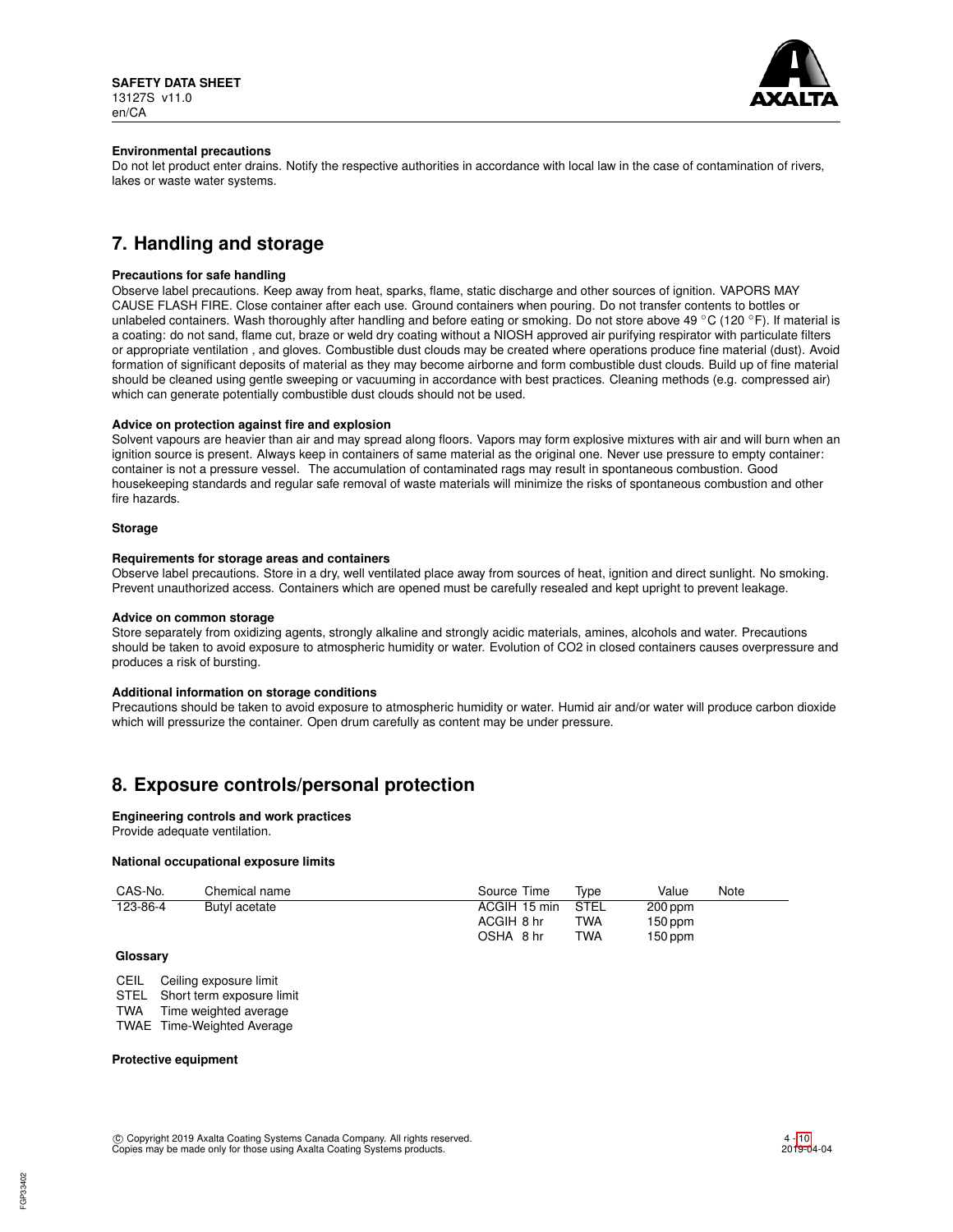

### **Environmental precautions**

Do not let product enter drains. Notify the respective authorities in accordance with local law in the case of contamination of rivers, lakes or waste water systems.

# **7. Handling and storage**

## **Precautions for safe handling**

Observe label precautions. Keep away from heat, sparks, flame, static discharge and other sources of ignition. VAPORS MAY CAUSE FLASH FIRE. Close container after each use. Ground containers when pouring. Do not transfer contents to bottles or unlabeled containers. Wash thoroughly after handling and before eating or smoking. Do not store above 49 °C (120 °F). If material is a coating: do not sand, flame cut, braze or weld dry coating without a NIOSH approved air purifying respirator with particulate filters or appropriate ventilation , and gloves. Combustible dust clouds may be created where operations produce fine material (dust). Avoid formation of significant deposits of material as they may become airborne and form combustible dust clouds. Build up of fine material should be cleaned using gentle sweeping or vacuuming in accordance with best practices. Cleaning methods (e.g. compressed air) which can generate potentially combustible dust clouds should not be used.

### **Advice on protection against fire and explosion**

Solvent vapours are heavier than air and may spread along floors. Vapors may form explosive mixtures with air and will burn when an ignition source is present. Always keep in containers of same material as the original one. Never use pressure to empty container: container is not a pressure vessel. The accumulation of contaminated rags may result in spontaneous combustion. Good housekeeping standards and regular safe removal of waste materials will minimize the risks of spontaneous combustion and other fire hazards.

#### **Storage**

### **Requirements for storage areas and containers**

Observe label precautions. Store in a dry, well ventilated place away from sources of heat, ignition and direct sunlight. No smoking. Prevent unauthorized access. Containers which are opened must be carefully resealed and kept upright to prevent leakage.

#### **Advice on common storage**

Store separately from oxidizing agents, strongly alkaline and strongly acidic materials, amines, alcohols and water. Precautions should be taken to avoid exposure to atmospheric humidity or water. Evolution of CO2 in closed containers causes overpressure and produces a risk of bursting.

#### **Additional information on storage conditions**

Precautions should be taken to avoid exposure to atmospheric humidity or water. Humid air and/or water will produce carbon dioxide which will pressurize the container. Open drum carefully as content may be under pressure.

# **8. Exposure controls/personal protection**

#### **Engineering controls and work practices**

Provide adequate ventilation.

## **National occupational exposure limits**

| CAS-No.  | Chemical name | Source Time  | Tvpe       | Value     | Note |
|----------|---------------|--------------|------------|-----------|------|
| 123-86-4 | Butyl acetate | ACGIH 15 min | STEL       | $200$ ppm |      |
|          |               | ACGIH 8 hr   | TWA        | $150$ ppm |      |
|          |               | OSHA 8 hr    | <b>TWA</b> | $150$ ppm |      |

# **Glossary**

CEIL Ceiling exposure limit

STEL Short term exposure limit

TWA Time weighted average

TWAE Time-Weighted Average

## **Protective equipment**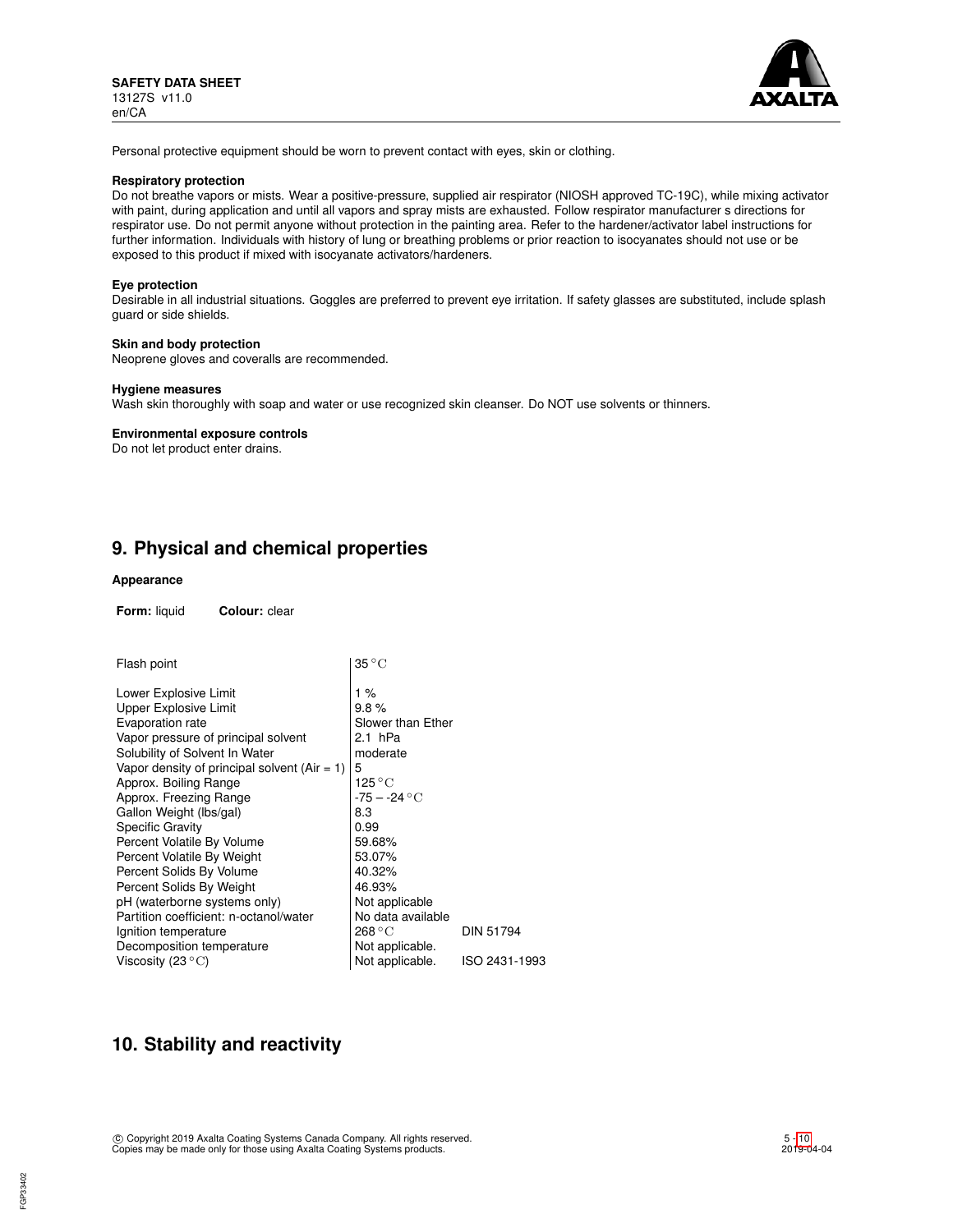

Personal protective equipment should be worn to prevent contact with eyes, skin or clothing.

### **Respiratory protection**

Do not breathe vapors or mists. Wear a positive-pressure, supplied air respirator (NIOSH approved TC-19C), while mixing activator with paint, during application and until all vapors and spray mists are exhausted. Follow respirator manufacturer s directions for respirator use. Do not permit anyone without protection in the painting area. Refer to the hardener/activator label instructions for further information. Individuals with history of lung or breathing problems or prior reaction to isocyanates should not use or be exposed to this product if mixed with isocyanate activators/hardeners.

#### **Eye protection**

Desirable in all industrial situations. Goggles are preferred to prevent eye irritation. If safety glasses are substituted, include splash guard or side shields.

### **Skin and body protection**

Neoprene gloves and coveralls are recommended.

#### **Hygiene measures**

Wash skin thoroughly with soap and water or use recognized skin cleanser. Do NOT use solvents or thinners.

#### **Environmental exposure controls**

Do not let product enter drains.

# **9. Physical and chemical properties**

## **Appearance**

**Form:** liquid **Colour:** clear

| Flash point                                    | $35^{\circ}$ C        |                  |  |  |  |  |
|------------------------------------------------|-----------------------|------------------|--|--|--|--|
| Lower Explosive Limit                          | 1 %                   |                  |  |  |  |  |
| <b>Upper Explosive Limit</b>                   | 9.8%                  |                  |  |  |  |  |
| Evaporation rate                               | Slower than Ether     |                  |  |  |  |  |
| Vapor pressure of principal solvent            | 2.1 hPa               |                  |  |  |  |  |
| Solubility of Solvent In Water                 | moderate              |                  |  |  |  |  |
| Vapor density of principal solvent $(Air = 1)$ | 5                     |                  |  |  |  |  |
| Approx. Boiling Range                          | 125 $^{\circ}{\rm C}$ |                  |  |  |  |  |
| Approx. Freezing Range                         | $-75 - -24$ °C        |                  |  |  |  |  |
| Gallon Weight (lbs/gal)                        | 8.3                   |                  |  |  |  |  |
| <b>Specific Gravity</b>                        | 0.99                  |                  |  |  |  |  |
| Percent Volatile By Volume                     | 59.68%                |                  |  |  |  |  |
| Percent Volatile By Weight                     | 53.07%                |                  |  |  |  |  |
| Percent Solids By Volume                       | 40.32%                |                  |  |  |  |  |
| Percent Solids By Weight                       | 46.93%                |                  |  |  |  |  |
| pH (waterborne systems only)                   | Not applicable        |                  |  |  |  |  |
| Partition coefficient: n-octanol/water         | No data available     |                  |  |  |  |  |
| Ignition temperature                           | 268 °C                | <b>DIN 51794</b> |  |  |  |  |
| Decomposition temperature                      | Not applicable.       |                  |  |  |  |  |
| Viscosity (23 $\rm ^{\circ}C)$                 | Not applicable.       | ISO 2431-1993    |  |  |  |  |

# **10. Stability and reactivity**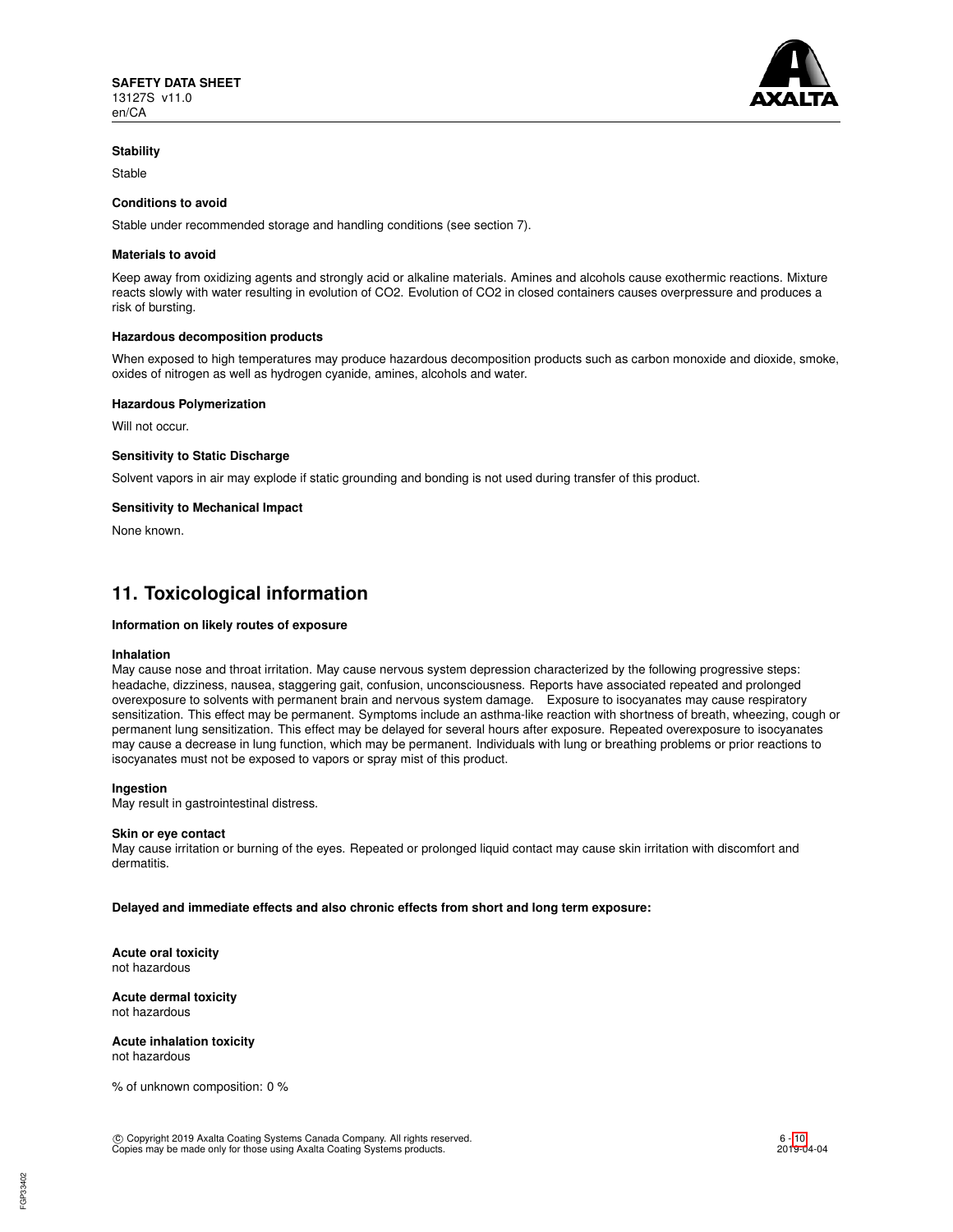

#### **Stability**

Stable

## **Conditions to avoid**

Stable under recommended storage and handling conditions (see section 7).

#### **Materials to avoid**

Keep away from oxidizing agents and strongly acid or alkaline materials. Amines and alcohols cause exothermic reactions. Mixture reacts slowly with water resulting in evolution of CO2. Evolution of CO2 in closed containers causes overpressure and produces a risk of bursting.

#### **Hazardous decomposition products**

When exposed to high temperatures may produce hazardous decomposition products such as carbon monoxide and dioxide, smoke, oxides of nitrogen as well as hydrogen cyanide, amines, alcohols and water.

#### **Hazardous Polymerization**

Will not occur.

#### **Sensitivity to Static Discharge**

Solvent vapors in air may explode if static grounding and bonding is not used during transfer of this product.

#### **Sensitivity to Mechanical Impact**

None known.

# **11. Toxicological information**

### **Information on likely routes of exposure**

#### **Inhalation**

May cause nose and throat irritation. May cause nervous system depression characterized by the following progressive steps: headache, dizziness, nausea, staggering gait, confusion, unconsciousness. Reports have associated repeated and prolonged overexposure to solvents with permanent brain and nervous system damage. Exposure to isocyanates may cause respiratory sensitization. This effect may be permanent. Symptoms include an asthma-like reaction with shortness of breath, wheezing, cough or permanent lung sensitization. This effect may be delayed for several hours after exposure. Repeated overexposure to isocyanates may cause a decrease in lung function, which may be permanent. Individuals with lung or breathing problems or prior reactions to isocyanates must not be exposed to vapors or spray mist of this product.

## **Ingestion**

May result in gastrointestinal distress.

#### **Skin or eye contact**

May cause irritation or burning of the eyes. Repeated or prolonged liquid contact may cause skin irritation with discomfort and dermatitis.

#### **Delayed and immediate effects and also chronic effects from short and long term exposure:**

**Acute oral toxicity** not hazardous

#### **Acute dermal toxicity** not hazardous

**Acute inhalation toxicity** not hazardous

% of unknown composition: 0 %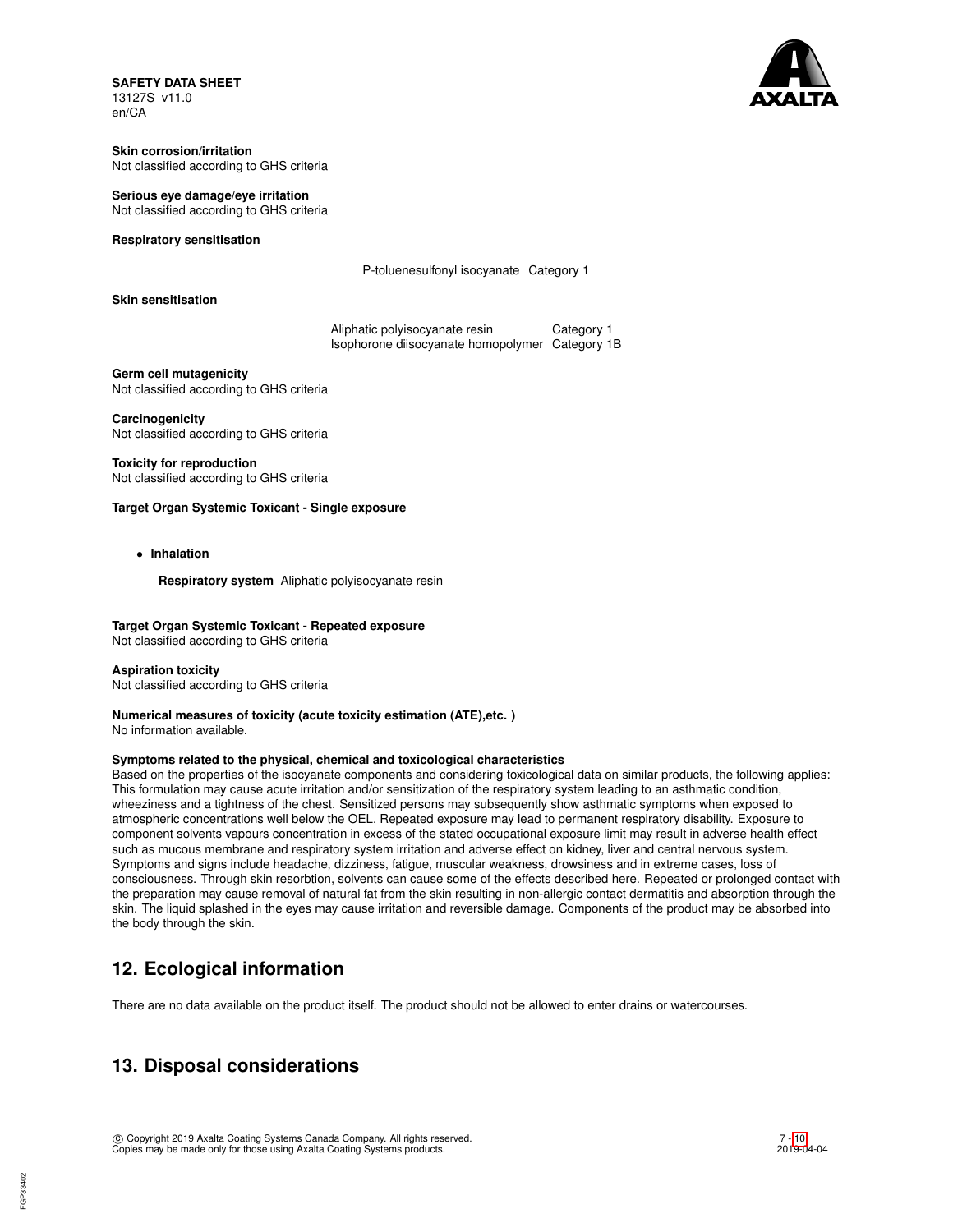**SAFETY DATA SHEET** 13127S v11.0 en/CA

# **Skin corrosion/irritation**

Not classified according to GHS criteria

### **Serious eye damage/eye irritation**

Not classified according to GHS criteria

## **Respiratory sensitisation**

P-toluenesulfonyl isocyanate Category 1

# **Skin sensitisation**

Aliphatic polyisocyanate resin Category 1 Isophorone diisocyanate homopolymer Category 1B

**Germ cell mutagenicity** Not classified according to GHS criteria

**Carcinogenicity** Not classified according to GHS criteria

# **Toxicity for reproduction**

Not classified according to GHS criteria

## **Target Organ Systemic Toxicant - Single exposure**

• **Inhalation**

**Respiratory system** Aliphatic polyisocyanate resin

# **Target Organ Systemic Toxicant - Repeated exposure**

Not classified according to GHS criteria

#### **Aspiration toxicity**

Not classified according to GHS criteria

# **Numerical measures of toxicity (acute toxicity estimation (ATE),etc. )**

No information available.

# **Symptoms related to the physical, chemical and toxicological characteristics**

Based on the properties of the isocyanate components and considering toxicological data on similar products, the following applies: This formulation may cause acute irritation and/or sensitization of the respiratory system leading to an asthmatic condition, wheeziness and a tightness of the chest. Sensitized persons may subsequently show asthmatic symptoms when exposed to atmospheric concentrations well below the OEL. Repeated exposure may lead to permanent respiratory disability. Exposure to component solvents vapours concentration in excess of the stated occupational exposure limit may result in adverse health effect such as mucous membrane and respiratory system irritation and adverse effect on kidney, liver and central nervous system. Symptoms and signs include headache, dizziness, fatigue, muscular weakness, drowsiness and in extreme cases, loss of consciousness. Through skin resorbtion, solvents can cause some of the effects described here. Repeated or prolonged contact with the preparation may cause removal of natural fat from the skin resulting in non-allergic contact dermatitis and absorption through the skin. The liquid splashed in the eyes may cause irritation and reversible damage. Components of the product may be absorbed into the body through the skin.

# **12. Ecological information**

There are no data available on the product itself. The product should not be allowed to enter drains or watercourses.

# **13. Disposal considerations**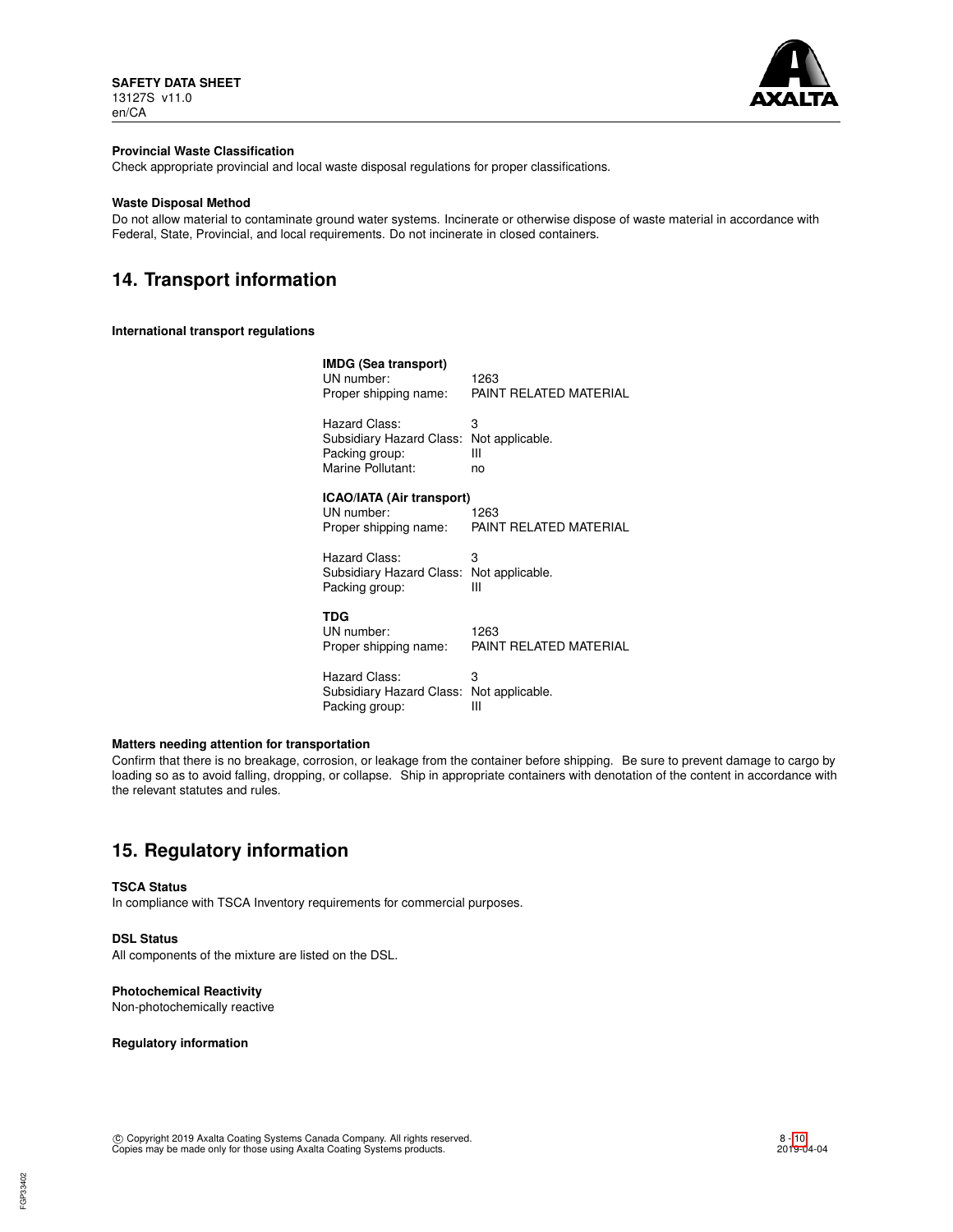

## **Provincial Waste Classification**

Check appropriate provincial and local waste disposal regulations for proper classifications.

## **Waste Disposal Method**

Do not allow material to contaminate ground water systems. Incinerate or otherwise dispose of waste material in accordance with Federal, State, Provincial, and local requirements. Do not incinerate in closed containers.

# **14. Transport information**

#### **International transport regulations**

| IMDG (Sea transport)<br>UN number:<br>Proper shipping name:                      | 1263<br>PAINT RELATED MATERIAL  |  |  |  |
|----------------------------------------------------------------------------------|---------------------------------|--|--|--|
| Hazard Class:<br>Subsidiary Hazard Class:<br>Packing group:<br>Marine Pollutant: | З<br>Not applicable.<br>Ш<br>no |  |  |  |
| ICAO/IATA (Air transport)<br>UN number:<br>Proper shipping name:                 | 1263<br>PAINT RELATED MATERIAL  |  |  |  |
| Hazard Class:<br>Subsidiary Hazard Class: Not applicable.<br>Packing group:      | 3<br>Ш                          |  |  |  |
| TDG<br>UN number:<br>Proper shipping name:                                       | 1263<br>PAINT RELATED MATERIAL  |  |  |  |
| Hazard Class:<br>Subsidiary Hazard Class:<br>Packing group:                      | 3<br>Not applicable.<br>Ш       |  |  |  |

# **Matters needing attention for transportation**

Confirm that there is no breakage, corrosion, or leakage from the container before shipping. Be sure to prevent damage to cargo by loading so as to avoid falling, dropping, or collapse. Ship in appropriate containers with denotation of the content in accordance with the relevant statutes and rules.

# **15. Regulatory information**

#### **TSCA Status**

In compliance with TSCA Inventory requirements for commercial purposes.

# **DSL Status**

FGP33402

All components of the mixture are listed on the DSL.

### **Photochemical Reactivity**

Non-photochemically reactive

### **Regulatory information**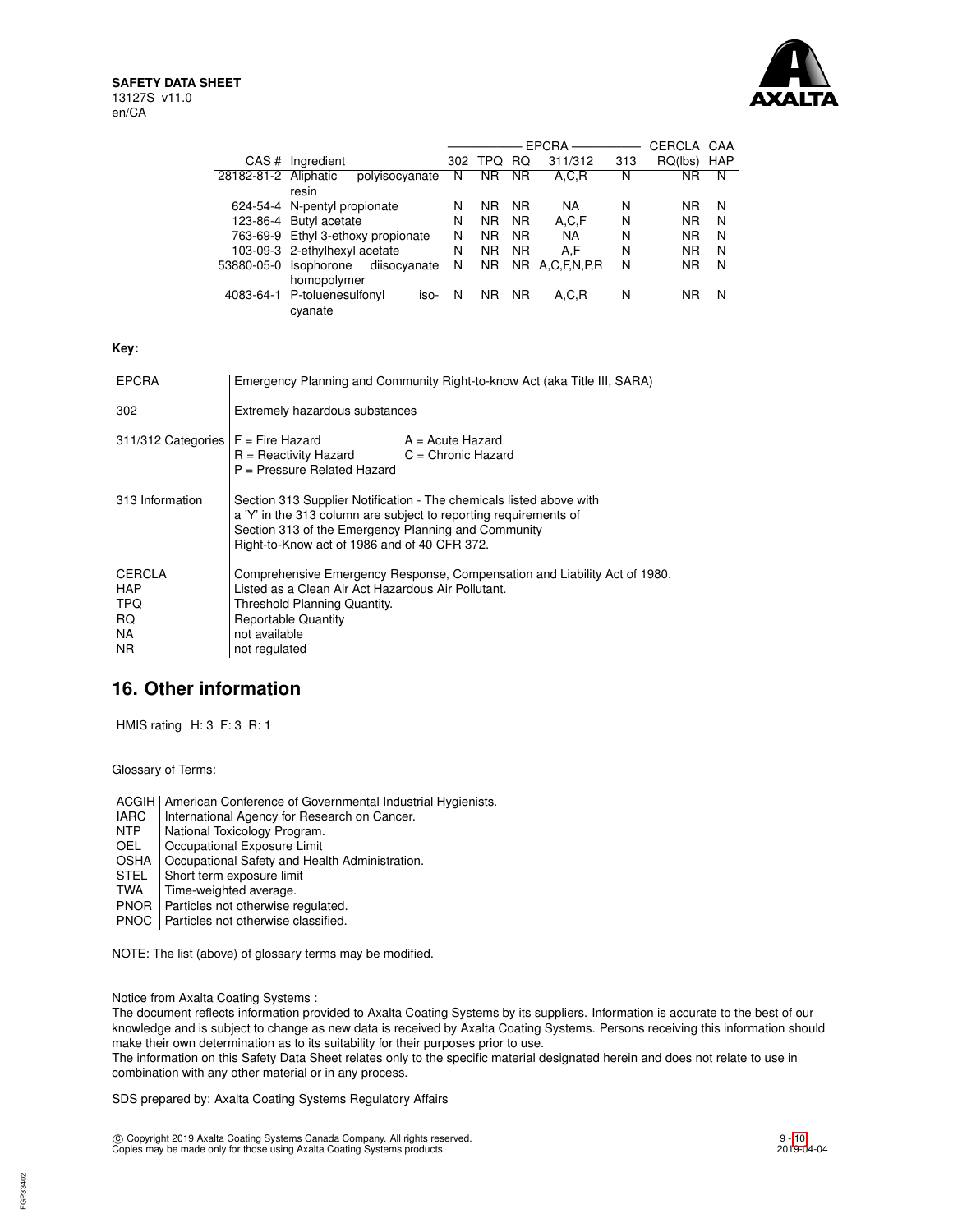

|                                                                     |                                                                                                                                                                                                                                                |                                        |                                    |   |                |           |                |     | CERCLA CAA     |   |
|---------------------------------------------------------------------|------------------------------------------------------------------------------------------------------------------------------------------------------------------------------------------------------------------------------------------------|----------------------------------------|------------------------------------|---|----------------|-----------|----------------|-----|----------------|---|
|                                                                     |                                                                                                                                                                                                                                                | CAS # Ingredient                       |                                    |   | 302 TPQ RQ     |           | 311/312        | 313 | RQ(lbs) HAP    |   |
|                                                                     | 28182-81-2 Aliphatic                                                                                                                                                                                                                           | resin                                  | polyisocyanate                     | N | N <sub>R</sub> | <b>NR</b> | A, C, R        | N   | <b>NR</b>      | N |
|                                                                     |                                                                                                                                                                                                                                                |                                        | 624-54-4 N-pentyl propionate       |   | NR.            | <b>NR</b> | NA.            | N   | N <sub>R</sub> | N |
|                                                                     |                                                                                                                                                                                                                                                | 123-86-4 Butyl acetate                 |                                    | N | <b>NR</b>      | NR.       | A, C, F        | N   | <b>NR</b>      | N |
|                                                                     |                                                                                                                                                                                                                                                |                                        | 763-69-9 Ethyl 3-ethoxy propionate | N | N <sub>R</sub> | <b>NR</b> | <b>NA</b>      | N   | NR.            | N |
|                                                                     |                                                                                                                                                                                                                                                | 103-09-3 2-ethylhexyl acetate          |                                    | N | NR.            | <b>NR</b> | A,F            | N   | NR.            | N |
|                                                                     |                                                                                                                                                                                                                                                | 53880-05-0 Isophorone<br>homopolymer   | diisocyanate                       | N | N <sub>R</sub> |           | NR A,C,F,N,P,R | N   | <b>NR</b>      | N |
|                                                                     |                                                                                                                                                                                                                                                | 4083-64-1 P-toluenesulfonyl<br>cyanate | iso-                               | N | NR NR          |           | A, C, R        | N   | N <sub>R</sub> | N |
| Key:                                                                |                                                                                                                                                                                                                                                |                                        |                                    |   |                |           |                |     |                |   |
| <b>EPCRA</b>                                                        | Emergency Planning and Community Right-to-know Act (aka Title III, SARA)                                                                                                                                                                       |                                        |                                    |   |                |           |                |     |                |   |
| 302                                                                 | Extremely hazardous substances                                                                                                                                                                                                                 |                                        |                                    |   |                |           |                |     |                |   |
| 311/312 Categories                                                  | $F =$ Fire Hazard<br>$A = Acute$ Hazard<br>$R =$ Reactivity Hazard<br>$C =$ Chronic Hazard<br>P = Pressure Related Hazard                                                                                                                      |                                        |                                    |   |                |           |                |     |                |   |
| 313 Information                                                     | Section 313 Supplier Notification - The chemicals listed above with<br>a 'Y' in the 313 column are subject to reporting requirements of<br>Section 313 of the Emergency Planning and Community<br>Right-to-Know act of 1986 and of 40 CFR 372. |                                        |                                    |   |                |           |                |     |                |   |
| <b>CERCLA</b><br><b>HAP</b><br><b>TPQ</b><br>RQ<br>NA.<br><b>NR</b> | Comprehensive Emergency Response, Compensation and Liability Act of 1980.<br>Listed as a Clean Air Act Hazardous Air Pollutant.<br>Threshold Planning Quantity.<br><b>Reportable Quantity</b><br>not available<br>not regulated                |                                        |                                    |   |                |           |                |     |                |   |

# **16. Other information**

HMIS rating H: 3 F: 3 R: 1

Glossary of Terms:

ACGIH | American Conference of Governmental Industrial Hygienists.

- IARC | International Agency for Research on Cancer.<br>
NTP | National Toxicology Program.
- NTP National Toxicology Program.<br>OEL Cocupational Exposure Limit
- Occupational Exposure Limit
- OSHA | Occupational Safety and Health Administration.<br>STEL | Short term exposure limit
- STEL Short term exposure limit<br>TWA Time-weighted average.
- Time-weighted average.
- PNOR | Particles not otherwise regulated.
- PNOC | Particles not otherwise classified.

NOTE: The list (above) of glossary terms may be modified.

Notice from Axalta Coating Systems :

The document reflects information provided to Axalta Coating Systems by its suppliers. Information is accurate to the best of our knowledge and is subject to change as new data is received by Axalta Coating Systems. Persons receiving this information should make their own determination as to its suitability for their purposes prior to use.

The information on this Safety Data Sheet relates only to the specific material designated herein and does not relate to use in combination with any other material or in any process.

SDS prepared by: Axalta Coating Systems Regulatory Affairs